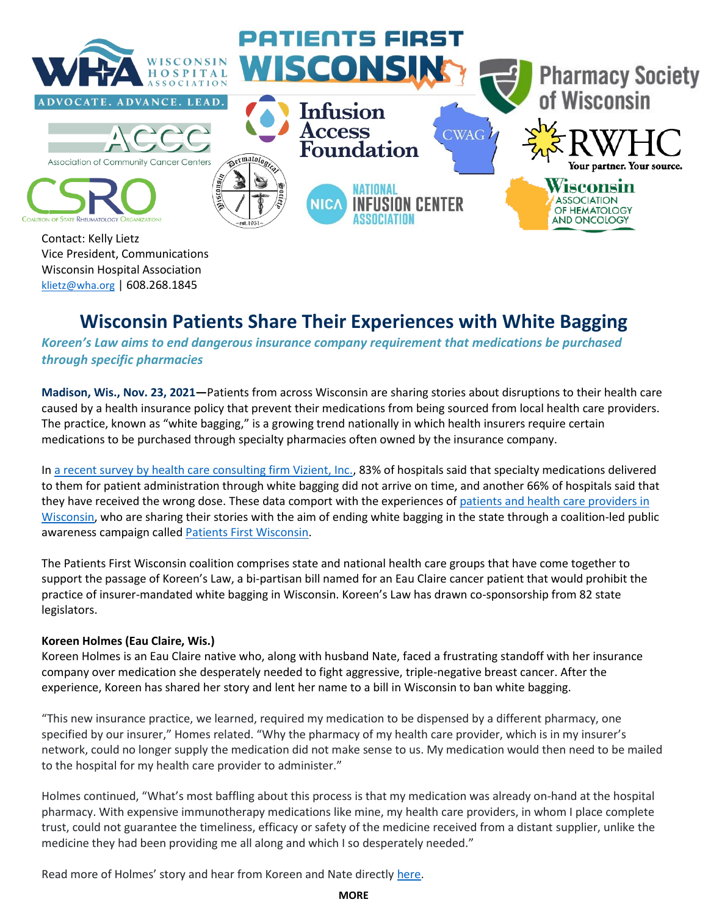

Contact: Kelly Lietz Vice President, Communications Wisconsin Hospital Association [klietz@wha.org](mailto:klietz@wha.org) | 608.268.1845

# **Wisconsin Patients Share Their Experiences with White Bagging**

*Koreen's Law aims to end dangerous insurance company requirement that medications be purchased through specific pharmacies*

**Madison, Wis., Nov. 23, 2021—**Patients from across Wisconsin are sharing stories about disruptions to their health care caused by a health insurance policy that prevent their medications from being sourced from local health care providers. The practice, known as "white bagging," is a growing trend nationally in which health insurers require certain medications to be purchased through specialty pharmacies often owned by the insurance company.

In [a recent survey by health care consulting firm Vizient, Inc.,](https://www.vizientinc.com/-/media/documents/sitecorepublishingdocuments/public/noindex/whitebaggingreport.pdf) 83% of hospitals said that specialty medications delivered to them for patient administration through white bagging did not arrive on time, and another 66% of hospitals said that they have received the wrong dose. These data comport with the experiences of patients and health care providers in [Wisconsin,](https://www.wha.org/Patients-First-Wisconsin/Stories#myCarousel) who are sharing their stories with the aim of ending white bagging in the state through a coalition-led public awareness campaign calle[d Patients First Wisconsin.](https://www.wha.org/Patients-First-Wisconsin/About)

The Patients First Wisconsin coalition comprises state and national health care groups that have come together to support the passage of Koreen's Law, a bi-partisan bill named for an Eau Claire cancer patient that would prohibit the practice of insurer-mandated white bagging in Wisconsin. Koreen's Law has drawn co-sponsorship from 82 state legislators.

### **Koreen Holmes (Eau Claire, Wis.)**

Koreen Holmes is an Eau Claire native who, along with husband Nate, faced a frustrating standoff with her insurance company over medication she desperately needed to fight aggressive, triple-negative breast cancer. After the experience, Koreen has shared her story and lent her name to a bill in Wisconsin to ban white bagging.

"This new insurance practice, we learned, required my medication to be dispensed by a different pharmacy, one specified by our insurer," Homes related. "Why the pharmacy of my health care provider, which is in my insurer's network, could no longer supply the medication did not make sense to us. My medication would then need to be mailed to the hospital for my health care provider to administer."

Holmes continued, "What's most baffling about this process is that my medication was already on-hand at the hospital pharmacy. With expensive immunotherapy medications like mine, my health care providers, in whom I place complete trust, could not guarantee the timeliness, efficacy or safety of the medicine received from a distant supplier, unlike the medicine they had been providing me all along and which I so desperately needed."

Read more of Holmes' story and hear from Koreen and Nate directly [here.](https://www.wha.org/Patients-First-Wisconsin/Stories/Stories/Patient-Story-(2))